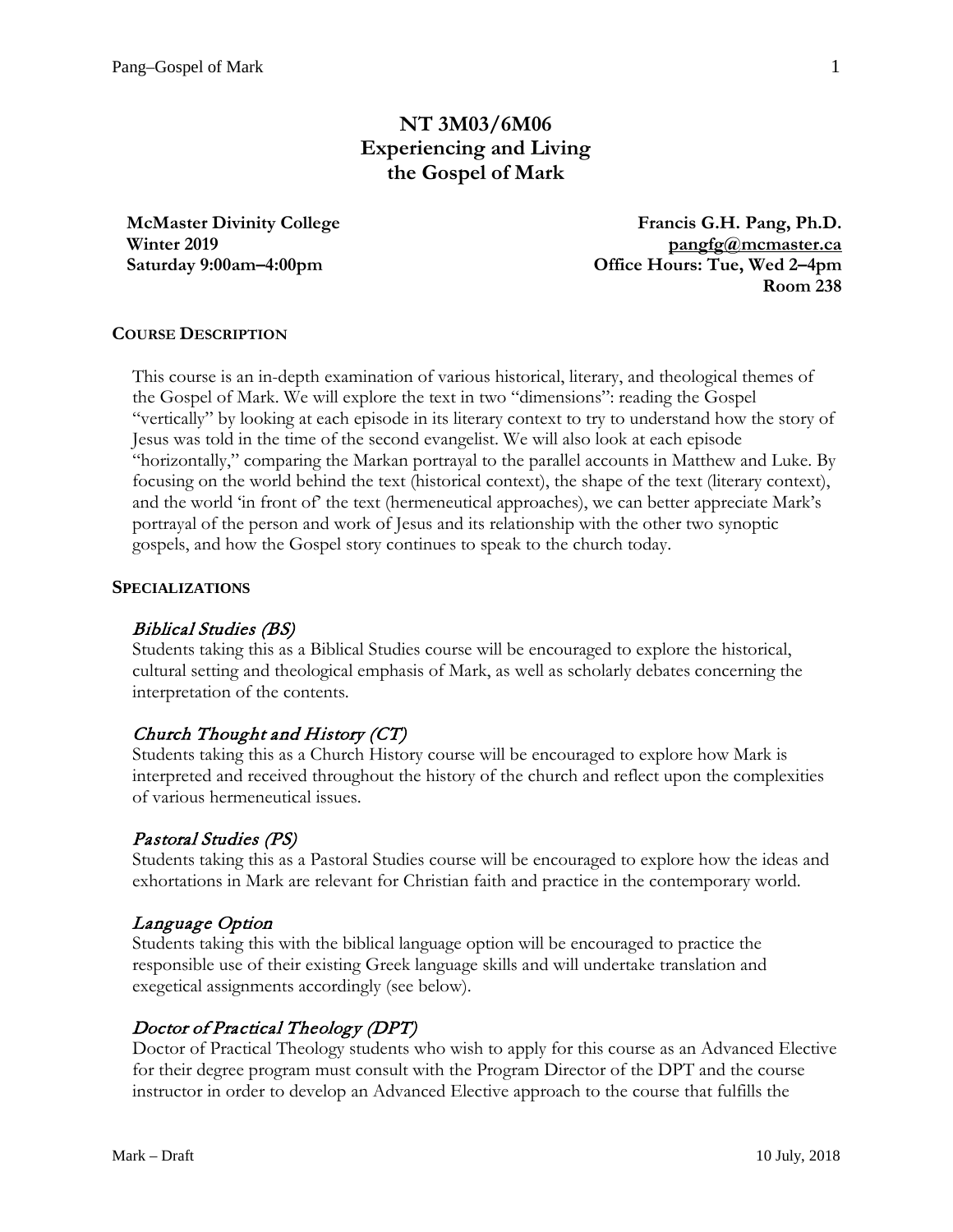# **NT 3M03/6M06 Experiencing and Living the Gospel of Mark**

**McMaster Divinity College Winter 2019 Saturday 9:00am–4:00pm**

**Francis G.H. Pang, Ph.D. [pangfg@mcmaster.ca](mailto:pangfg@mcmaster.ca) Office Hours: Tue, Wed 2–4pm Room 238**

### **COURSE DESCRIPTION**

This course is an in-depth examination of various historical, literary, and theological themes of the Gospel of Mark. We will explore the text in two "dimensions": reading the Gospel "vertically" by looking at each episode in its literary context to try to understand how the story of Jesus was told in the time of the second evangelist. We will also look at each episode "horizontally," comparing the Markan portrayal to the parallel accounts in Matthew and Luke. By focusing on the world behind the text (historical context), the shape of the text (literary context), and the world 'in front of' the text (hermeneutical approaches), we can better appreciate Mark's portrayal of the person and work of Jesus and its relationship with the other two synoptic gospels, and how the Gospel story continues to speak to the church today.

#### **SPECIALIZATIONS**

#### Biblical Studies (BS)

Students taking this as a Biblical Studies course will be encouraged to explore the historical, cultural setting and theological emphasis of Mark, as well as scholarly debates concerning the interpretation of the contents.

# Church Thought and History (CT)

Students taking this as a Church History course will be encouraged to explore how Mark is interpreted and received throughout the history of the church and reflect upon the complexities of various hermeneutical issues.

# Pastoral Studies (PS)

Students taking this as a Pastoral Studies course will be encouraged to explore how the ideas and exhortations in Mark are relevant for Christian faith and practice in the contemporary world.

#### Language Option

Students taking this with the biblical language option will be encouraged to practice the responsible use of their existing Greek language skills and will undertake translation and exegetical assignments accordingly (see below).

#### Doctor of Practical Theology (DPT)

Doctor of Practical Theology students who wish to apply for this course as an Advanced Elective for their degree program must consult with the Program Director of the DPT and the course instructor in order to develop an Advanced Elective approach to the course that fulfills the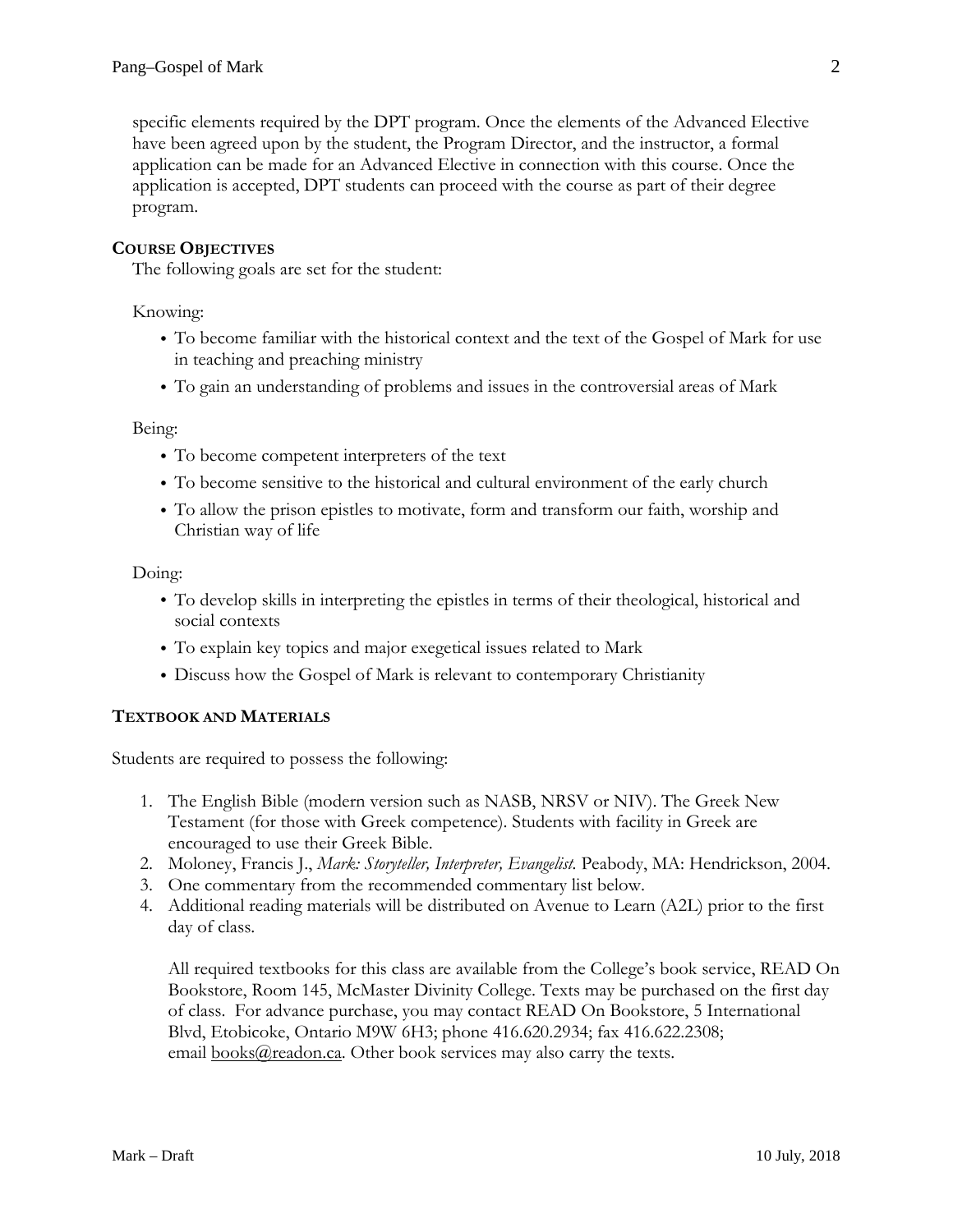specific elements required by the DPT program. Once the elements of the Advanced Elective have been agreed upon by the student, the Program Director, and the instructor, a formal application can be made for an Advanced Elective in connection with this course. Once the application is accepted, DPT students can proceed with the course as part of their degree program.

# **COURSE OBJECTIVES**

The following goals are set for the student:

Knowing:

- To become familiar with the historical context and the text of the Gospel of Mark for use in teaching and preaching ministry
- To gain an understanding of problems and issues in the controversial areas of Mark

Being:

- To become competent interpreters of the text
- To become sensitive to the historical and cultural environment of the early church
- To allow the prison epistles to motivate, form and transform our faith, worship and Christian way of life

Doing:

- To develop skills in interpreting the epistles in terms of their theological, historical and social contexts
- To explain key topics and major exegetical issues related to Mark
- Discuss how the Gospel of Mark is relevant to contemporary Christianity

#### **TEXTBOOK AND MATERIALS**

Students are required to possess the following:

- 1. The English Bible (modern version such as NASB, NRSV or NIV). The Greek New Testament (for those with Greek competence). Students with facility in Greek are encouraged to use their Greek Bible.
- 2. Moloney, Francis J., *Mark: Storyteller, Interpreter, Evangelist.* Peabody, MA: Hendrickson, 2004.
- 3. One commentary from the recommended commentary list below.
- 4. Additional reading materials will be distributed on Avenue to Learn (A2L) prior to the first day of class.

All required textbooks for this class are available from the College's book service, READ On Bookstore, Room 145, McMaster Divinity College. Texts may be purchased on the first day of class. For advance purchase, you may contact READ On Bookstore, 5 International Blvd, Etobicoke, Ontario M9W 6H3; phone 416.620.2934; fax 416.622.2308; email [books@readon.ca.](mailto:books@readon.ca) Other book services may also carry the texts.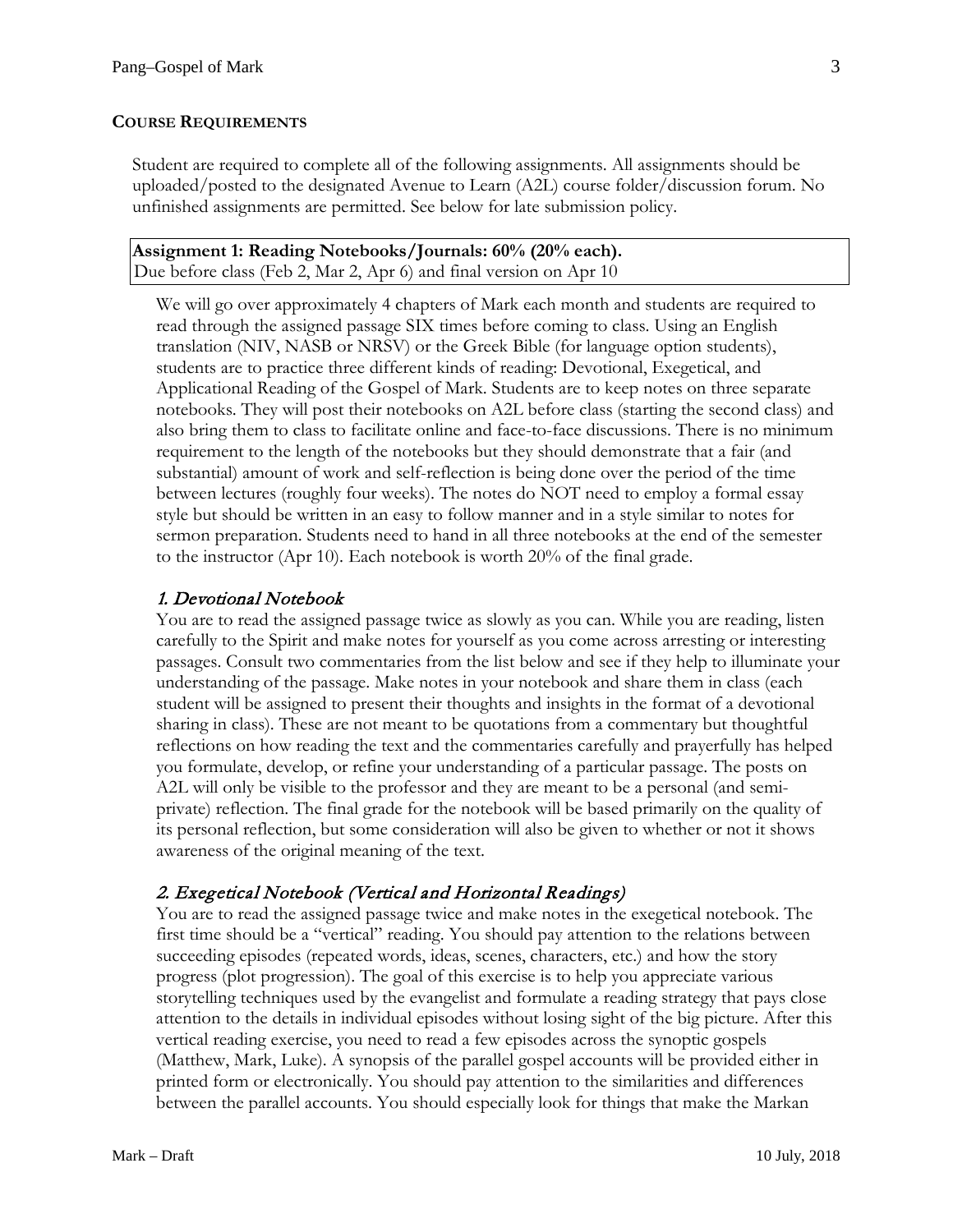#### **COURSE REQUIREMENTS**

Student are required to complete all of the following assignments. All assignments should be uploaded/posted to the designated Avenue to Learn (A2L) course folder/discussion forum. No unfinished assignments are permitted. See below for late submission policy.

#### **Assignment 1: Reading Notebooks/Journals: 60% (20% each).** Due before class (Feb 2, Mar 2, Apr 6) and final version on Apr 10

We will go over approximately 4 chapters of Mark each month and students are required to read through the assigned passage SIX times before coming to class. Using an English translation (NIV, NASB or NRSV) or the Greek Bible (for language option students), students are to practice three different kinds of reading: Devotional, Exegetical, and Applicational Reading of the Gospel of Mark. Students are to keep notes on three separate notebooks. They will post their notebooks on A2L before class (starting the second class) and also bring them to class to facilitate online and face-to-face discussions. There is no minimum requirement to the length of the notebooks but they should demonstrate that a fair (and substantial) amount of work and self-reflection is being done over the period of the time between lectures (roughly four weeks). The notes do NOT need to employ a formal essay style but should be written in an easy to follow manner and in a style similar to notes for sermon preparation. Students need to hand in all three notebooks at the end of the semester to the instructor (Apr 10). Each notebook is worth 20% of the final grade.

### 1. Devotional Notebook

You are to read the assigned passage twice as slowly as you can. While you are reading, listen carefully to the Spirit and make notes for yourself as you come across arresting or interesting passages. Consult two commentaries from the list below and see if they help to illuminate your understanding of the passage. Make notes in your notebook and share them in class (each student will be assigned to present their thoughts and insights in the format of a devotional sharing in class). These are not meant to be quotations from a commentary but thoughtful reflections on how reading the text and the commentaries carefully and prayerfully has helped you formulate, develop, or refine your understanding of a particular passage. The posts on A2L will only be visible to the professor and they are meant to be a personal (and semiprivate) reflection. The final grade for the notebook will be based primarily on the quality of its personal reflection, but some consideration will also be given to whether or not it shows awareness of the original meaning of the text.

# 2. Exegetical Notebook (Vertical and Horizontal Readings)

You are to read the assigned passage twice and make notes in the exegetical notebook. The first time should be a "vertical" reading. You should pay attention to the relations between succeeding episodes (repeated words, ideas, scenes, characters, etc.) and how the story progress (plot progression). The goal of this exercise is to help you appreciate various storytelling techniques used by the evangelist and formulate a reading strategy that pays close attention to the details in individual episodes without losing sight of the big picture. After this vertical reading exercise, you need to read a few episodes across the synoptic gospels (Matthew, Mark, Luke). A synopsis of the parallel gospel accounts will be provided either in printed form or electronically. You should pay attention to the similarities and differences between the parallel accounts. You should especially look for things that make the Markan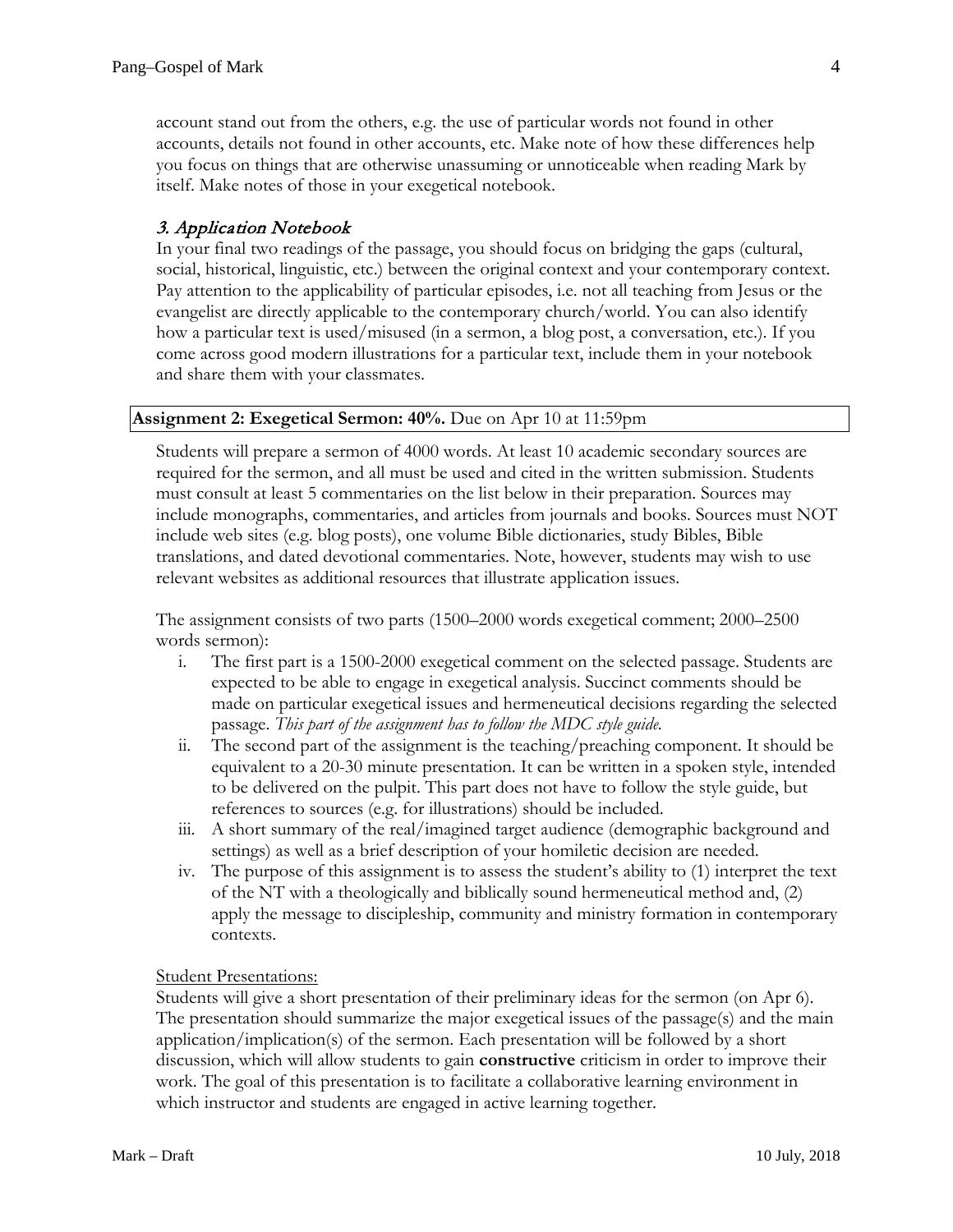account stand out from the others, e.g. the use of particular words not found in other accounts, details not found in other accounts, etc. Make note of how these differences help you focus on things that are otherwise unassuming or unnoticeable when reading Mark by itself. Make notes of those in your exegetical notebook.

# 3. Application Notebook

In your final two readings of the passage, you should focus on bridging the gaps (cultural, social, historical, linguistic, etc.) between the original context and your contemporary context. Pay attention to the applicability of particular episodes, i.e. not all teaching from Jesus or the evangelist are directly applicable to the contemporary church/world. You can also identify how a particular text is used/misused (in a sermon, a blog post, a conversation, etc.). If you come across good modern illustrations for a particular text, include them in your notebook and share them with your classmates.

#### **Assignment 2: Exegetical Sermon: 40%.** Due on Apr 10 at 11:59pm

Students will prepare a sermon of 4000 words. At least 10 academic secondary sources are required for the sermon, and all must be used and cited in the written submission. Students must consult at least 5 commentaries on the list below in their preparation. Sources may include monographs, commentaries, and articles from journals and books. Sources must NOT include web sites (e.g. blog posts), one volume Bible dictionaries, study Bibles, Bible translations, and dated devotional commentaries. Note, however, students may wish to use relevant websites as additional resources that illustrate application issues.

The assignment consists of two parts (1500–2000 words exegetical comment; 2000–2500 words sermon):

- i. The first part is a 1500-2000 exegetical comment on the selected passage. Students are expected to be able to engage in exegetical analysis. Succinct comments should be made on particular exegetical issues and hermeneutical decisions regarding the selected passage. *This part of the assignment has to follow the MDC style guide.*
- ii. The second part of the assignment is the teaching/preaching component. It should be equivalent to a 20-30 minute presentation. It can be written in a spoken style, intended to be delivered on the pulpit. This part does not have to follow the style guide, but references to sources (e.g. for illustrations) should be included.
- iii. A short summary of the real/imagined target audience (demographic background and settings) as well as a brief description of your homiletic decision are needed.
- iv. The purpose of this assignment is to assess the student's ability to (1) interpret the text of the NT with a theologically and biblically sound hermeneutical method and, (2) apply the message to discipleship, community and ministry formation in contemporary contexts.

#### Student Presentations:

Students will give a short presentation of their preliminary ideas for the sermon (on Apr 6). The presentation should summarize the major exegetical issues of the passage(s) and the main application/implication(s) of the sermon. Each presentation will be followed by a short discussion, which will allow students to gain **constructive** criticism in order to improve their work. The goal of this presentation is to facilitate a collaborative learning environment in which instructor and students are engaged in active learning together.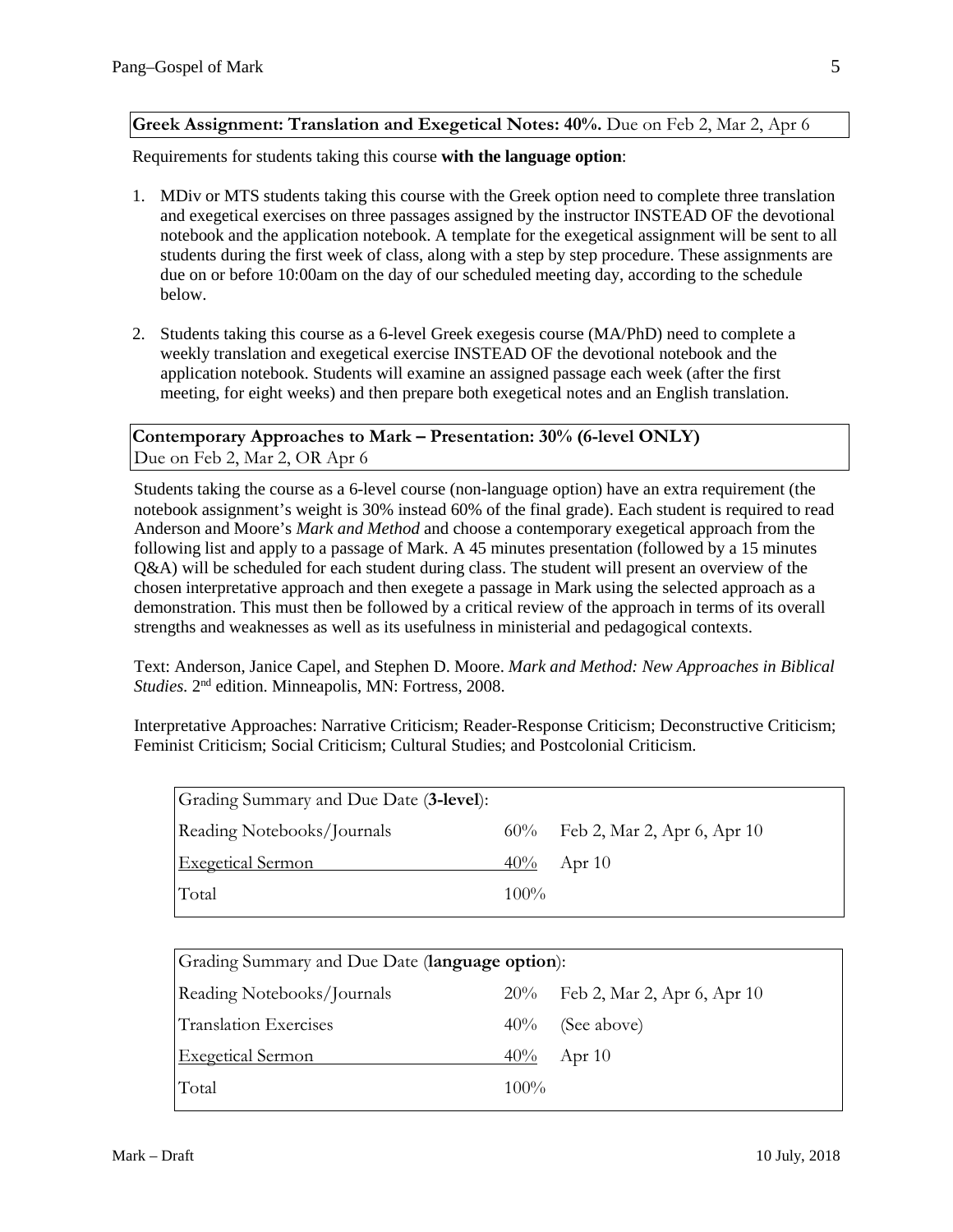# **Greek Assignment: Translation and Exegetical Notes: 40%.** Due on Feb 2, Mar 2, Apr 6

Requirements for students taking this course **with the language option**:

- 1. MDiv or MTS students taking this course with the Greek option need to complete three translation and exegetical exercises on three passages assigned by the instructor INSTEAD OF the devotional notebook and the application notebook. A template for the exegetical assignment will be sent to all students during the first week of class, along with a step by step procedure. These assignments are due on or before 10:00am on the day of our scheduled meeting day, according to the schedule below.
- 2. Students taking this course as a 6-level Greek exegesis course (MA/PhD) need to complete a weekly translation and exegetical exercise INSTEAD OF the devotional notebook and the application notebook. Students will examine an assigned passage each week (after the first meeting, for eight weeks) and then prepare both exegetical notes and an English translation.

**Contemporary Approaches to Mark – Presentation: 30% (6-level ONLY)** Due on Feb 2, Mar 2, OR Apr 6

Students taking the course as a 6-level course (non-language option) have an extra requirement (the notebook assignment's weight is 30% instead 60% of the final grade). Each student is required to read Anderson and Moore's *Mark and Method* and choose a contemporary exegetical approach from the following list and apply to a passage of Mark. A 45 minutes presentation (followed by a 15 minutes Q&A) will be scheduled for each student during class. The student will present an overview of the chosen interpretative approach and then exegete a passage in Mark using the selected approach as a demonstration. This must then be followed by a critical review of the approach in terms of its overall strengths and weaknesses as well as its usefulness in ministerial and pedagogical contexts.

Text: Anderson, Janice Capel, and Stephen D. Moore. *Mark and Method: New Approaches in Biblical Studies.* 2nd edition. Minneapolis, MN: Fortress, 2008.

Interpretative Approaches: Narrative Criticism; Reader-Response Criticism; Deconstructive Criticism; Feminist Criticism; Social Criticism; Cultural Studies; and Postcolonial Criticism.

| Grading Summary and Due Date (3-level): |         |                                 |
|-----------------------------------------|---------|---------------------------------|
| Reading Notebooks/Journals              |         | 60% Feb 2, Mar 2, Apr 6, Apr 10 |
| <b>Exegetical Sermon</b>                |         | $40\%$ Apr 10                   |
| Total                                   | $100\%$ |                                 |

| Grading Summary and Due Date (language option): |         |                             |  |  |  |
|-------------------------------------------------|---------|-----------------------------|--|--|--|
| Reading Notebooks/Journals                      | $20\%$  | Feb 2, Mar 2, Apr 6, Apr 10 |  |  |  |
| <b>Translation Exercises</b>                    | $40\%$  | (See above)                 |  |  |  |
| <b>Exegetical Sermon</b>                        | $40\%$  | Apr $10$                    |  |  |  |
| Total                                           | $100\%$ |                             |  |  |  |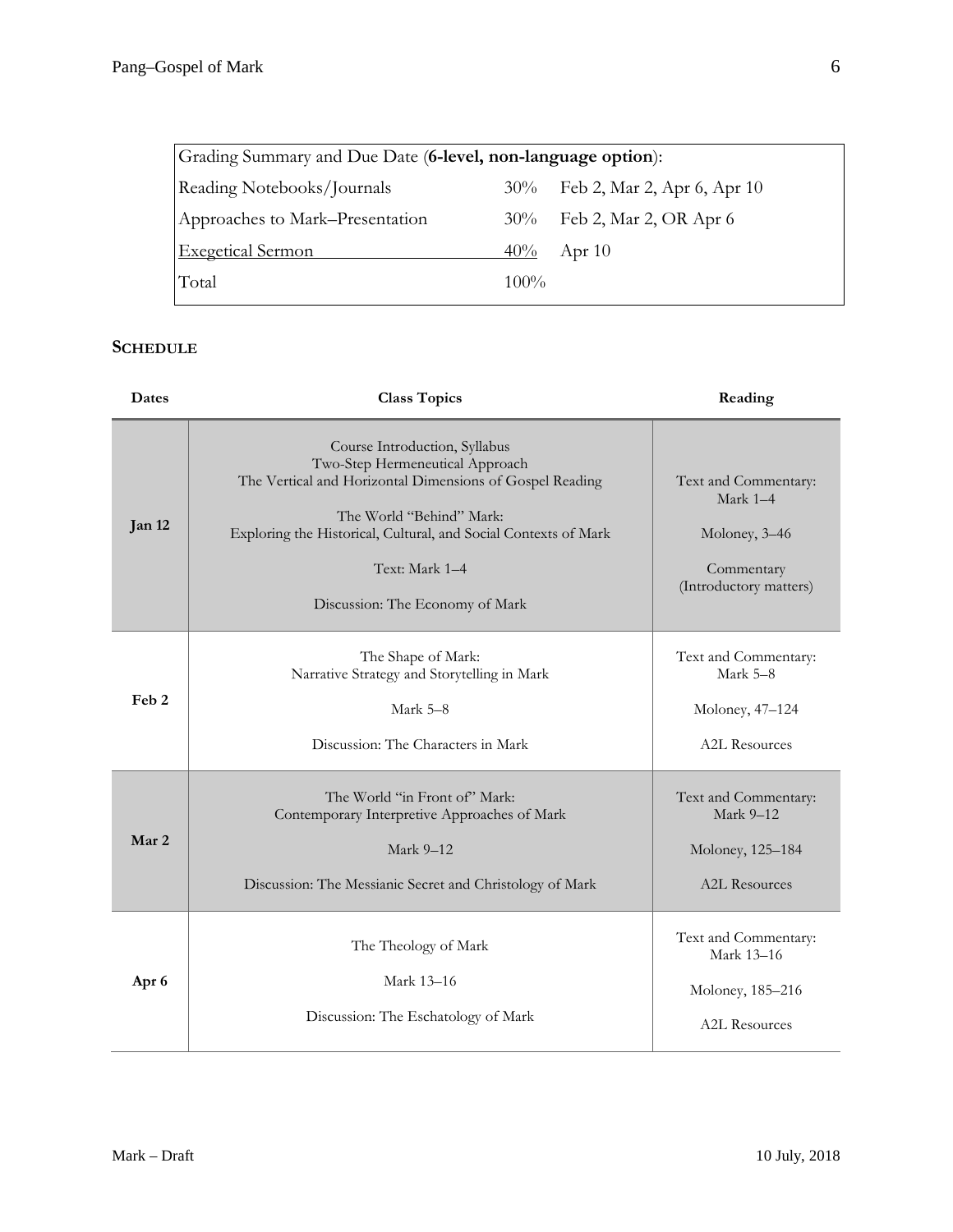| Grading Summary and Due Date (6-level, non-language option): |         |                                 |  |  |  |
|--------------------------------------------------------------|---------|---------------------------------|--|--|--|
| Reading Notebooks/Journals                                   |         | 30% Feb 2, Mar 2, Apr 6, Apr 10 |  |  |  |
| Approaches to Mark–Presentation                              |         | 30% Feb 2, Mar 2, OR Apr 6      |  |  |  |
| <b>Exegetical Sermon</b>                                     | $40\%$  | Apr $10$                        |  |  |  |
| Total                                                        | $100\%$ |                                 |  |  |  |

# **SCHEDULE**

| Dates            | <b>Class Topics</b>                                                                                                                                                                                                                                                              | Reading                                                                                     |
|------------------|----------------------------------------------------------------------------------------------------------------------------------------------------------------------------------------------------------------------------------------------------------------------------------|---------------------------------------------------------------------------------------------|
| Jan 12           | Course Introduction, Syllabus<br>Two-Step Hermeneutical Approach<br>The Vertical and Horizontal Dimensions of Gospel Reading<br>The World "Behind" Mark:<br>Exploring the Historical, Cultural, and Social Contexts of Mark<br>Text: Mark 1-4<br>Discussion: The Economy of Mark | Text and Commentary:<br>Mark $1-4$<br>Moloney, 3-46<br>Commentary<br>(Introductory matters) |
| Feb <sub>2</sub> | The Shape of Mark:<br>Narrative Strategy and Storytelling in Mark<br>Mark 5-8<br>Discussion: The Characters in Mark                                                                                                                                                              | Text and Commentary:<br>Mark 5-8<br>Moloney, 47–124<br>A2L Resources                        |
| Mar 2            | The World "in Front of" Mark:<br>Contemporary Interpretive Approaches of Mark<br>Mark 9-12<br>Discussion: The Messianic Secret and Christology of Mark                                                                                                                           | Text and Commentary:<br>Mark 9-12<br>Moloney, 125-184<br><b>A2L Resources</b>               |
| Apr 6            | The Theology of Mark<br>Mark 13-16<br>Discussion: The Eschatology of Mark                                                                                                                                                                                                        | Text and Commentary:<br>Mark 13-16<br>Moloney, 185-216<br><b>A2L Resources</b>              |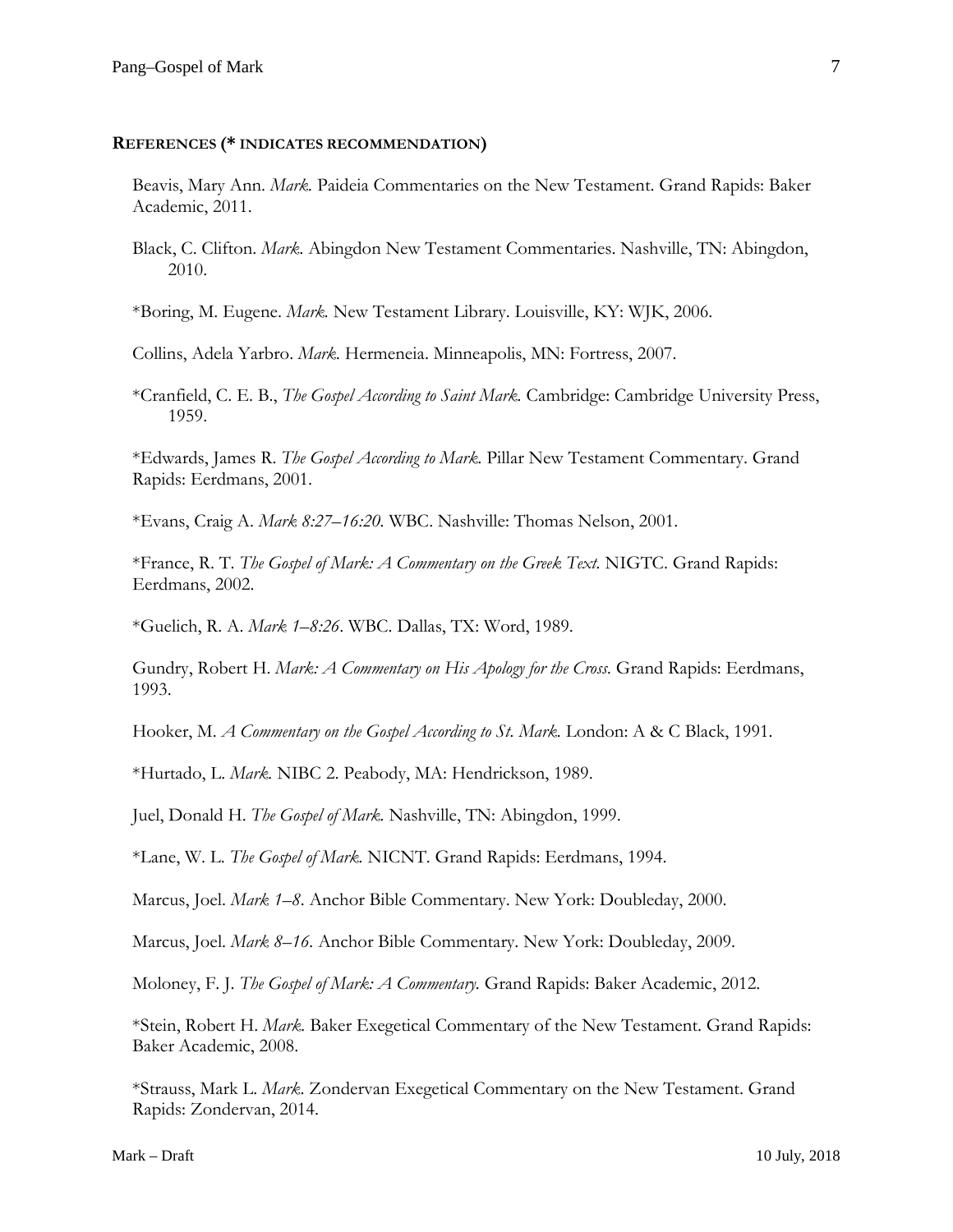#### **REFERENCES (\* INDICATES RECOMMENDATION)**

Beavis, Mary Ann. *Mark.* Paideia Commentaries on the New Testament. Grand Rapids: Baker Academic, 2011.

Black, C. Clifton. *Mark.* Abingdon New Testament Commentaries. Nashville, TN: Abingdon, 2010.

\*Boring, M. Eugene. *Mark.* New Testament Library. Louisville, KY: WJK, 2006.

Collins, Adela Yarbro. *Mark.* Hermeneia. Minneapolis, MN: Fortress, 2007.

\*Cranfield, C. E. B., *The Gospel According to Saint Mark.* Cambridge: Cambridge University Press, 1959.

\*Edwards, James R. *The Gospel According to Mark.* Pillar New Testament Commentary. Grand Rapids: Eerdmans, 2001.

\*Evans, Craig A. *Mark 8:27–16:20.* WBC. Nashville: Thomas Nelson, 2001.

\*France, R. T. *The Gospel of Mark: A Commentary on the Greek Text.* NIGTC. Grand Rapids: Eerdmans, 2002.

\*Guelich, R. A. *Mark 1–8:26*. WBC. Dallas, TX: Word, 1989.

Gundry, Robert H. *Mark: A Commentary on His Apology for the Cross.* Grand Rapids: Eerdmans, 1993.

Hooker, M. *A Commentary on the Gospel According to St. Mark.* London: A & C Black, 1991.

\*Hurtado, L. *Mark.* NIBC 2. Peabody, MA: Hendrickson, 1989.

Juel, Donald H. *The Gospel of Mark.* Nashville, TN: Abingdon, 1999.

\*Lane, W. L. *The Gospel of Mark.* NICNT. Grand Rapids: Eerdmans, 1994.

Marcus, Joel. *Mark 1–8*. Anchor Bible Commentary. New York: Doubleday, 2000.

Marcus, Joel. *Mark 8–16.* Anchor Bible Commentary. New York: Doubleday, 2009.

Moloney, F. J. *The Gospel of Mark: A Commentary.* Grand Rapids: Baker Academic, 2012.

\*Stein, Robert H. *Mark.* Baker Exegetical Commentary of the New Testament. Grand Rapids: Baker Academic, 2008.

\*Strauss, Mark L. *Mark*. Zondervan Exegetical Commentary on the New Testament. Grand Rapids: Zondervan, 2014.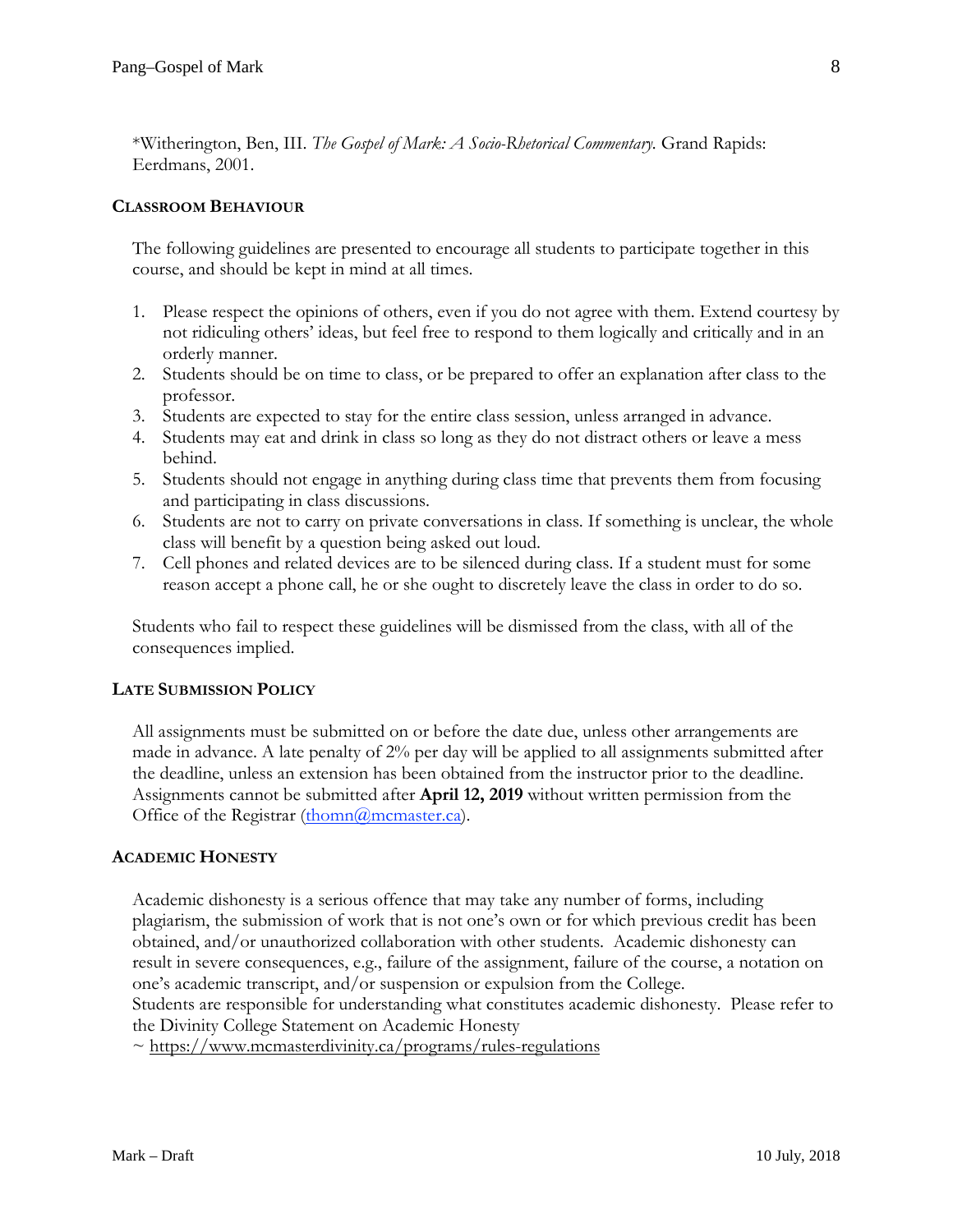\*Witherington, Ben, III. *The Gospel of Mark: A Socio-Rhetorical Commentary.* Grand Rapids: Eerdmans, 2001.

### **CLASSROOM BEHAVIOUR**

The following guidelines are presented to encourage all students to participate together in this course, and should be kept in mind at all times.

- 1. Please respect the opinions of others, even if you do not agree with them. Extend courtesy by not ridiculing others' ideas, but feel free to respond to them logically and critically and in an orderly manner.
- 2. Students should be on time to class, or be prepared to offer an explanation after class to the professor.
- 3. Students are expected to stay for the entire class session, unless arranged in advance.
- 4. Students may eat and drink in class so long as they do not distract others or leave a mess behind.
- 5. Students should not engage in anything during class time that prevents them from focusing and participating in class discussions.
- 6. Students are not to carry on private conversations in class. If something is unclear, the whole class will benefit by a question being asked out loud.
- 7. Cell phones and related devices are to be silenced during class. If a student must for some reason accept a phone call, he or she ought to discretely leave the class in order to do so.

Students who fail to respect these guidelines will be dismissed from the class, with all of the consequences implied.

# **LATE SUBMISSION POLICY**

All assignments must be submitted on or before the date due, unless other arrangements are made in advance. A late penalty of 2% per day will be applied to all assignments submitted after the deadline, unless an extension has been obtained from the instructor prior to the deadline. Assignments cannot be submitted after **April 12, 2019** without written permission from the Office of the Registrar [\(thomn@mcmaster.ca\)](mailto:thomn@mcmaster.ca).

#### **ACADEMIC HONESTY**

Academic dishonesty is a serious offence that may take any number of forms, including plagiarism, the submission of work that is not one's own or for which previous credit has been obtained, and/or unauthorized collaboration with other students. Academic dishonesty can result in severe consequences, e.g., failure of the assignment, failure of the course, a notation on one's academic transcript, and/or suspension or expulsion from the College.

Students are responsible for understanding what constitutes academic dishonesty. Please refer to the Divinity College Statement on Academic Honesty

~ <https://www.mcmasterdivinity.ca/programs/rules-regulations>